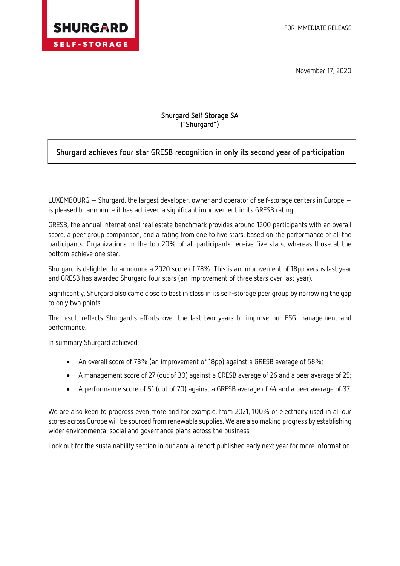

Ī

November 17, 2020

## Shurgard Self Storage SA ("Shurgard")

## Shurgard achieves four star GRESB recognition in only its second year of participation

LUXEMBOURG – Shurgard, the largest developer, owner and operator of self-storage centers in Europe – is pleased to announce it has achieved a significant improvement in its GRESB rating.

GRESB, the annual international real estate benchmark provides around 1200 participants with an overall score, a peer group comparison, and a rating from one to five stars, based on the performance of all the participants. Organizations in the top 20% of all participants receive five stars, whereas those at the bottom achieve one star.

Shurgard is delighted to announce a 2020 score of 78%. This is an improvement of 18pp versus last year and GRESB has awarded Shurgard four stars (an improvement of three stars over last year).

Significantly, Shurgard also came close to best in class in its self-storage peer group by narrowing the gap to only two points.

The result reflects Shurgard's efforts over the last two years to improve our ESG management and performance.

In summary Shurgard achieved:

- An overall score of 78% (an improvement of 18pp) against a GRESB average of 58%;
- A management score of 27 (out of 30) against a GRESB average of 26 and a peer average of 25;
- A performance score of 51 (out of 70) against a GRESB average of 44 and a peer average of 37.

We are also keen to progress even more and for example, from 2021, 100% of electricity used in all our stores across Europe will be sourced from renewable supplies. We are also making progress by establishing wider environmental social and governance plans across the business.

Look out for the sustainability section in our annual report published early next year for more information.